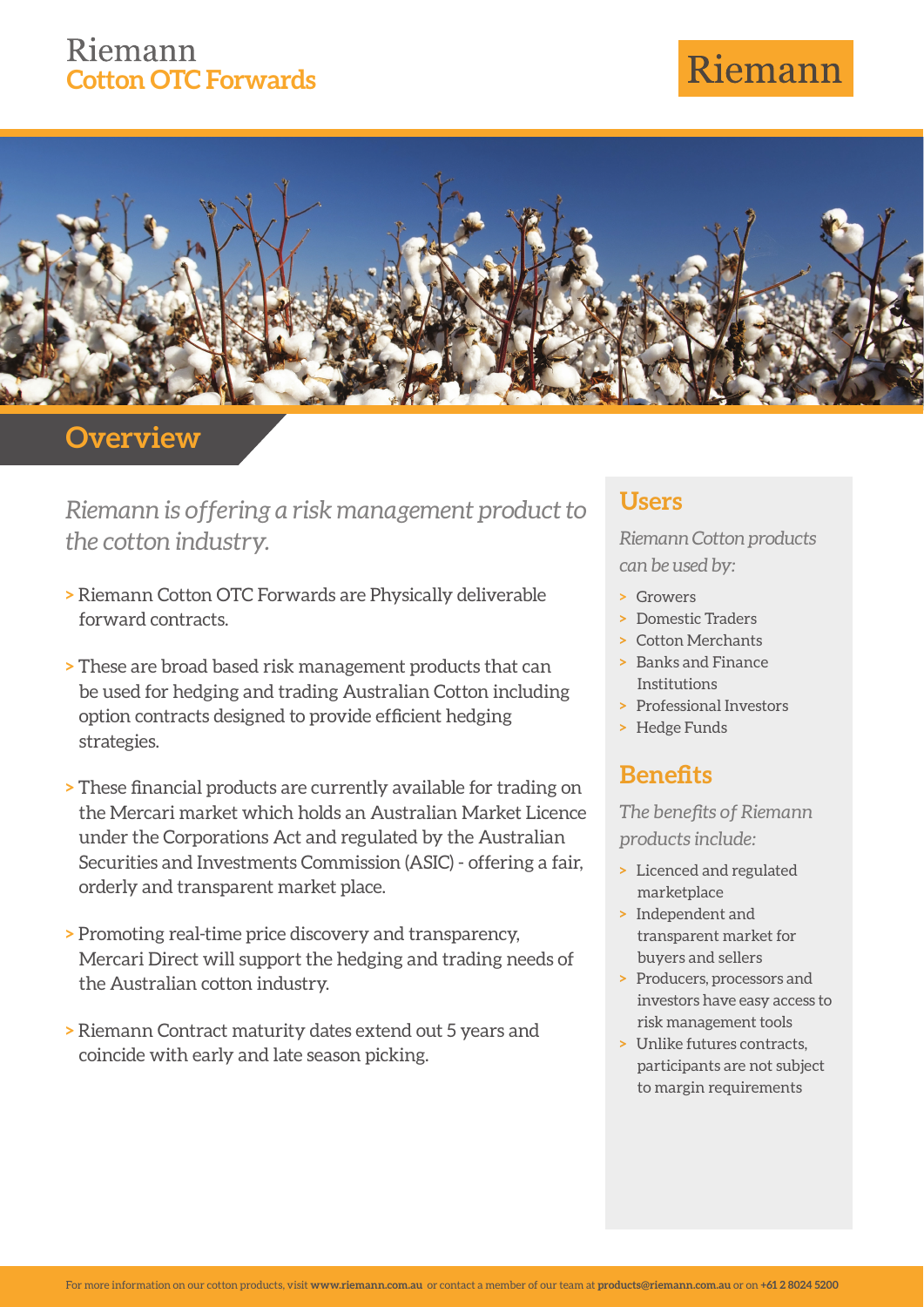## Riemann **Cotton OTC Forwards**

# Riemann



## **Overview**

*Riemann is offering a risk management product to the cotton industry.*

- **>** Riemann Cotton OTC Forwards are Physically deliverable forward contracts.
- **>** These are broad based risk management products that can be used for hedging and trading Australian Cotton including option contracts designed to provide efficient hedging strategies.
- **> These financial products are currently available for trading on** the Mercari market which holds an Australian Market Licence under the Corporations Act and regulated by the Australian Securities and Investments Commission (ASIC) - offering a fair, orderly and transparent market place.
- **>** Promoting real-time price discovery and transparency, Mercari Direct will support the hedging and trading needs of the Australian cotton industry.
- **>** Riemann Contract maturity dates extend out 5 years and coincide with early and late season picking.

#### **Users**

*Riemann Cotton products can be used by:*

- **>** Growers
- **>** Domestic Traders
- **>** Cotton Merchants
- **>** Banks and Finance Institutions
- **>** Professional Investors
- **>** Hedge Funds

## **Benefits**

**The benefits of Riemann** *products include:*

- **>** Licenced and regulated marketplace
- **>** Independent and transparent market for buyers and sellers
- **>** Producers, processors and investors have easy access to risk management tools
- **>** Unlike futures contracts, participants are not subject to margin requirements